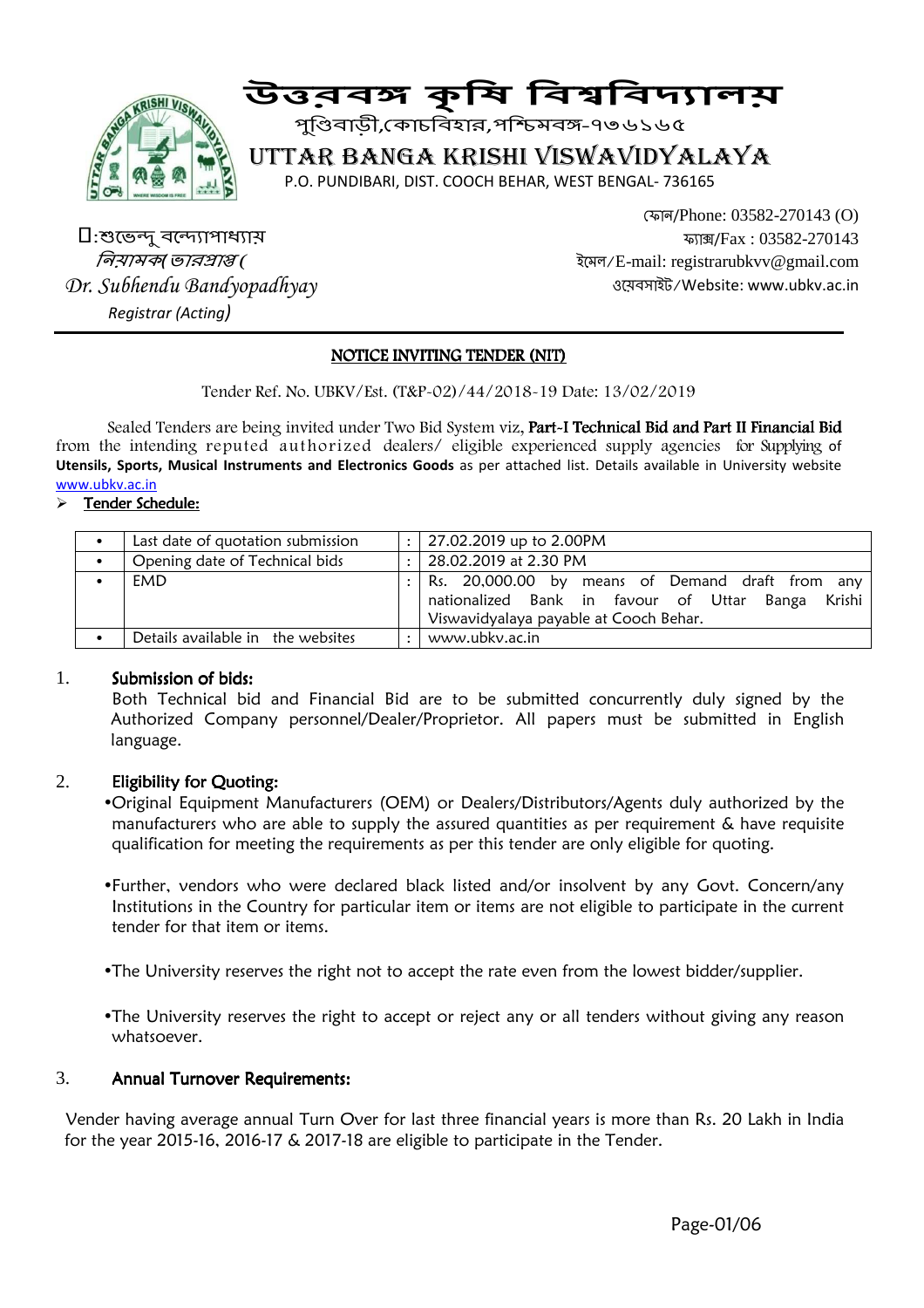

# <sub>জ</sup>ৈ</sub> উত্তৰ্স কৃষি বিশ্ববিদ্যালয়

পুিবাড়ী, কাচিবহার,পিমব-৭৩৬১৬৫

# UTTAR BANGA KRISHI VISWAVIDYALAYA

P.O. PUNDIBARI, DIST. COOCH BEHAR, WEST BENGAL- 736165

 $\Box$ :শুভেন্দু বন্দ্যোপাধ্যায় *নিয়ামক*(ভারপ্রাপ্ত( *Dr. Subhendu Bandyopadhyay Registrar (Acting)* 

 ফান/Phone: 03582-270143 (O) ফা#/Fax : 03582-270143 ইেমল/E-mail: registrarubkvv@gmail.com ওেয়বসাইট/Website: www.ubkv.ac.in

# NOTICE INVITING TENDER (NIT)

Tender Ref. No. UBKV/Est. (T&P-02)/44/2018-19 Date: 13/02/2019

Sealed Tenders are being invited under Two Bid System viz, Part-I Technical Bid and Part II Financial Bid from the intending reputed authorized dealers/ eligible experienced supply agencies for Supplying of **Utensils, Sports, Musical Instruments and Electronics Goods** as per attached list. Details available in University website www.ubkv.ac.in

#### Tender Schedule:

| Last date of quotation submission | $\ddot{\phantom{a}}$ | 27.02.2019 up to 2.00PM                                                                                                                           |
|-----------------------------------|----------------------|---------------------------------------------------------------------------------------------------------------------------------------------------|
| Opening date of Technical bids    | $\ddot{\phantom{a}}$ | 28.02.2019 at 2.30 PM                                                                                                                             |
| EMD                               |                      | Rs. 20,000.00 by means of Demand draft from any<br>nationalized Bank in favour of Uttar Banga<br>Krishi<br>Viswavidyalaya payable at Cooch Behar. |
| Details available in the websites | $\bullet$            | www.ubkv.ac.in                                                                                                                                    |

#### 1. Submission of bids:

 Both Technical bid and Financial Bid are to be submitted concurrently duly signed by the Authorized Company personnel/Dealer/Proprietor. All papers must be submitted in English language.

#### 2. Eligibility for Quoting:

•Original Equipment Manufacturers (OEM) or Dealers/Distributors/Agents duly authorized by the manufacturers who are able to supply the assured quantities as per requirement & have requisite qualification for meeting the requirements as per this tender are only eligible for quoting.

- •Further, vendors who were declared black listed and/or insolvent by any Govt. Concern/any Institutions in the Country for particular item or items are not eligible to participate in the current tender for that item or items.
- •The University reserves the right not to accept the rate even from the lowest bidder/supplier.
- •The University reserves the right to accept or reject any or all tenders without giving any reason whatsoever.

#### 3. Annual Turnover Requirements: Annual Turnover Requirements:

 Vender having average annual Turn Over for last three financial years is more than Rs. 20 Lakh in India for the year 2015-16, 2016-17 & 2017-18 are eligible to participate in the Tender.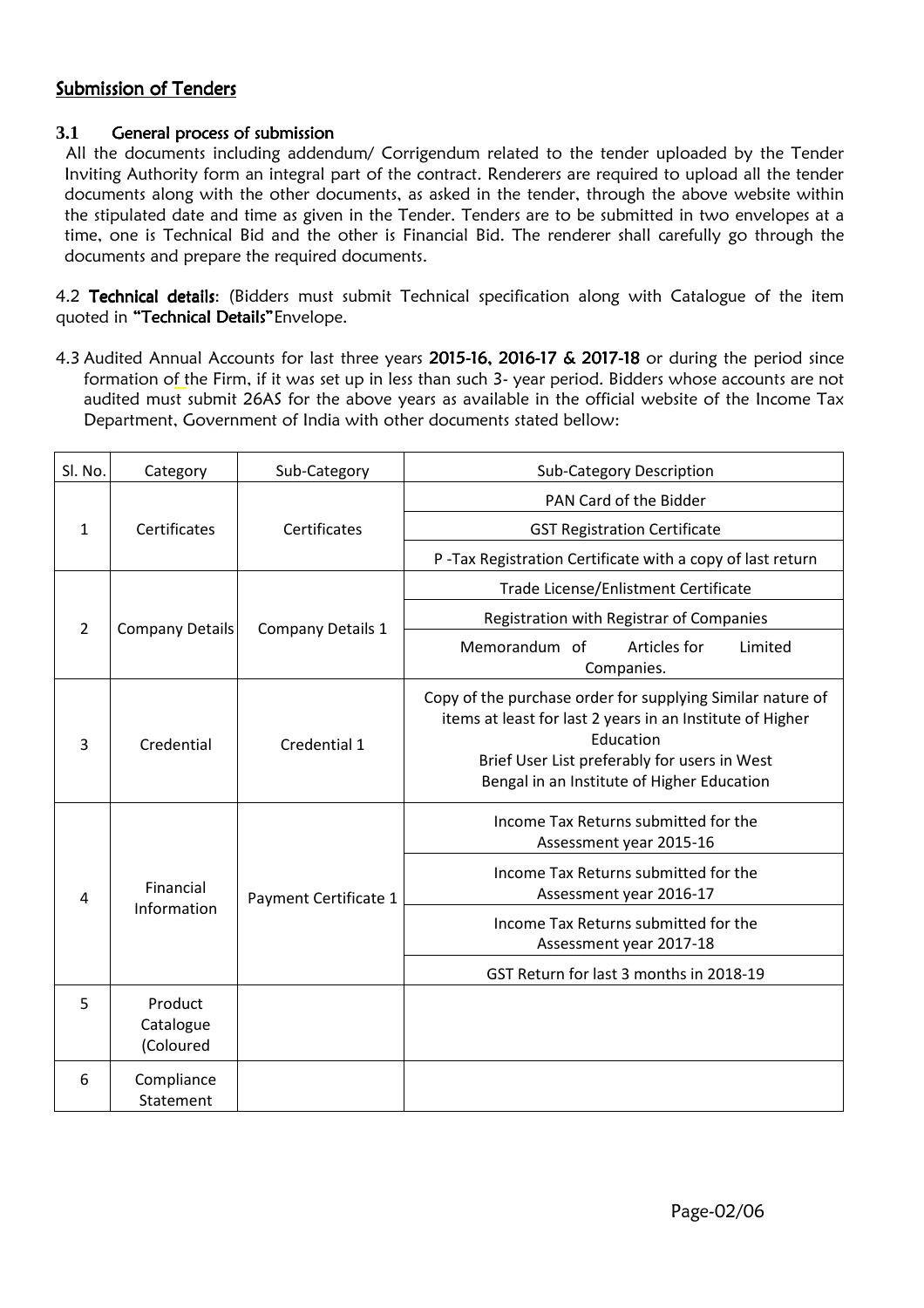# Submission of Tenders

# **3.1** General process of submission

 All the documents including addendum/ Corrigendum related to the tender uploaded by the Tender Inviting Authority form an integral part of the contract. Renderers are required to upload all the tender documents along with the other documents, as asked in the tender, through the above website within the stipulated date and time as given in the Tender. Tenders are to be submitted in two envelopes at a time, one is Technical Bid and the other is Financial Bid. The renderer shall carefully go through the documents and prepare the required documents.

4.2 Technical details: (Bidders must submit Technical specification along with Catalogue of the item quoted in "Technical Details" Envelope.

4.3 Audited Annual Accounts for last three years  $2015-16$ ,  $2016-17$  &  $2017-18$  or during the period since formation of the Firm, if it was set up in less than such 3- year period. Bidders whose accounts are not audited must submit 26AS for the above years as available in the official website of the Income Tax Department, Government of India with other documents stated bellow:

| Sl. No.        | Category                          | Sub-Category          | <b>Sub-Category Description</b>                                                                                                                                                                                                    |  |
|----------------|-----------------------------------|-----------------------|------------------------------------------------------------------------------------------------------------------------------------------------------------------------------------------------------------------------------------|--|
|                |                                   | Certificates          | PAN Card of the Bidder                                                                                                                                                                                                             |  |
| $\mathbf{1}$   | Certificates                      |                       | <b>GST Registration Certificate</b>                                                                                                                                                                                                |  |
|                |                                   |                       | P-Tax Registration Certificate with a copy of last return                                                                                                                                                                          |  |
| $\overline{2}$ | <b>Company Details</b>            | Company Details 1     | Trade License/Enlistment Certificate                                                                                                                                                                                               |  |
|                |                                   |                       | Registration with Registrar of Companies                                                                                                                                                                                           |  |
|                |                                   |                       | Articles for<br>Memorandum of<br>Limited<br>Companies.                                                                                                                                                                             |  |
| 3              | Credential                        | Credential 1          | Copy of the purchase order for supplying Similar nature of<br>items at least for last 2 years in an Institute of Higher<br>Education<br>Brief User List preferably for users in West<br>Bengal in an Institute of Higher Education |  |
| 4              | Financial<br>Information          | Payment Certificate 1 | Income Tax Returns submitted for the<br>Assessment year 2015-16                                                                                                                                                                    |  |
|                |                                   |                       | Income Tax Returns submitted for the<br>Assessment year 2016-17                                                                                                                                                                    |  |
|                |                                   |                       | Income Tax Returns submitted for the<br>Assessment year 2017-18                                                                                                                                                                    |  |
|                |                                   |                       | GST Return for last 3 months in 2018-19                                                                                                                                                                                            |  |
| 5              | Product<br>Catalogue<br>(Coloured |                       |                                                                                                                                                                                                                                    |  |
| 6              | Compliance<br>Statement           |                       |                                                                                                                                                                                                                                    |  |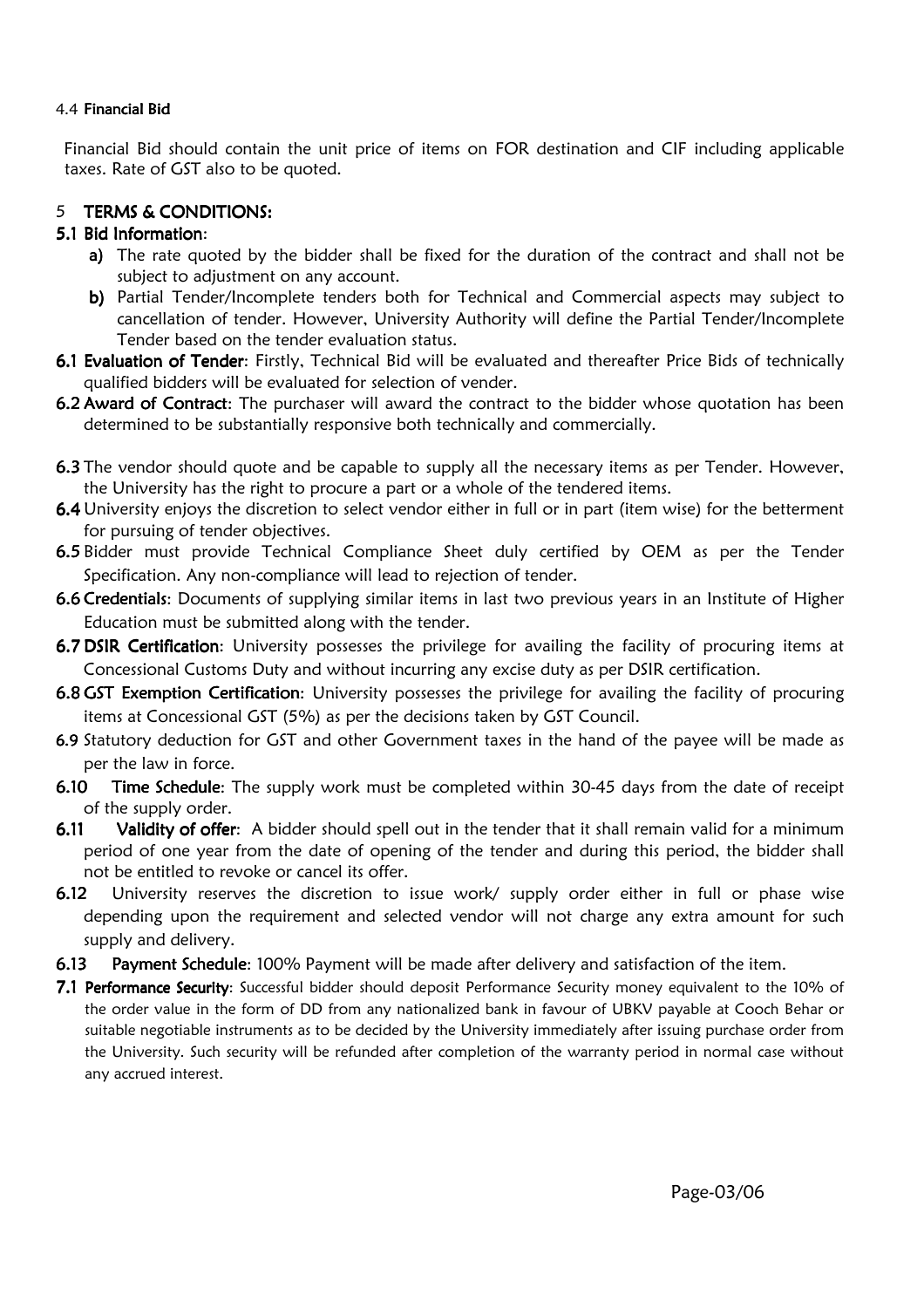#### 4.4 Financial Bid

Financial Bid should contain the unit price of items on FOR destination and CIF including applicable taxes. Rate of GST also to be quoted.

# 5 TERMS & CONDITIONS:

# 5.1 Bid Information:

- a) The rate quoted by the bidder shall be fixed for the duration of the contract and shall not be subject to adjustment on any account.
- b) Partial Tender/Incomplete tenders both for Technical and Commercial aspects may subject to cancellation of tender. However, University Authority will define the Partial Tender/Incomplete Tender based on the tender evaluation status.
- 6.1 Evaluation of Tender: Firstly, Technical Bid will be evaluated and thereafter Price Bids of technically qualified bidders will be evaluated for selection of vender.
- 6.2 Award of Contract: The purchaser will award the contract to the bidder whose quotation has been determined to be substantially responsive both technically and commercially.
- 6.3 The vendor should quote and be capable to supply all the necessary items as per Tender. However, the University has the right to procure a part or a whole of the tendered items.
- 6.4 University enjoys the discretion to select vendor either in full or in part (item wise) for the betterment for pursuing of tender objectives.
- 6.5 Bidder must provide Technical Compliance Sheet duly certified by OEM as per the Tender Specification. Any non-compliance will lead to rejection of tender.
- 6.6 Credentials: Documents of supplying similar items in last two previous years in an Institute of Higher Education must be submitted along with the tender.
- 6.7 DSIR Certification: University possesses the privilege for availing the facility of procuring items at Concessional Customs Duty and without incurring any excise duty as per DSIR certification.
- 6.8 GST Exemption Certification: University possesses the privilege for availing the facility of procuring items at Concessional GST (5%) as per the decisions taken by GST Council.
- 6.9 Statutory deduction for GST and other Government taxes in the hand of the payee will be made as per the law in force.
- 6.10 Time Schedule: The supply work must be completed within 30-45 days from the date of receipt of the supply order.
- 6.11 Validity of offer: A bidder should spell out in the tender that it shall remain valid for a minimum period of one year from the date of opening of the tender and during this period, the bidder shall not be entitled to revoke or cancel its offer.
- 6.12 University reserves the discretion to issue work/ supply order either in full or phase wise depending upon the requirement and selected vendor will not charge any extra amount for such supply and delivery.
- 6.13 Payment Schedule: 100% Payment will be made after delivery and satisfaction of the item.
- 7.1 Performance Security: Successful bidder should deposit Performance Security money equivalent to the 10% of the order value in the form of DD from any nationalized bank in favour of UBKV payable at Cooch Behar or suitable negotiable instruments as to be decided by the University immediately after issuing purchase order from the University. Such security will be refunded after completion of the warranty period in normal case without any accrued interest.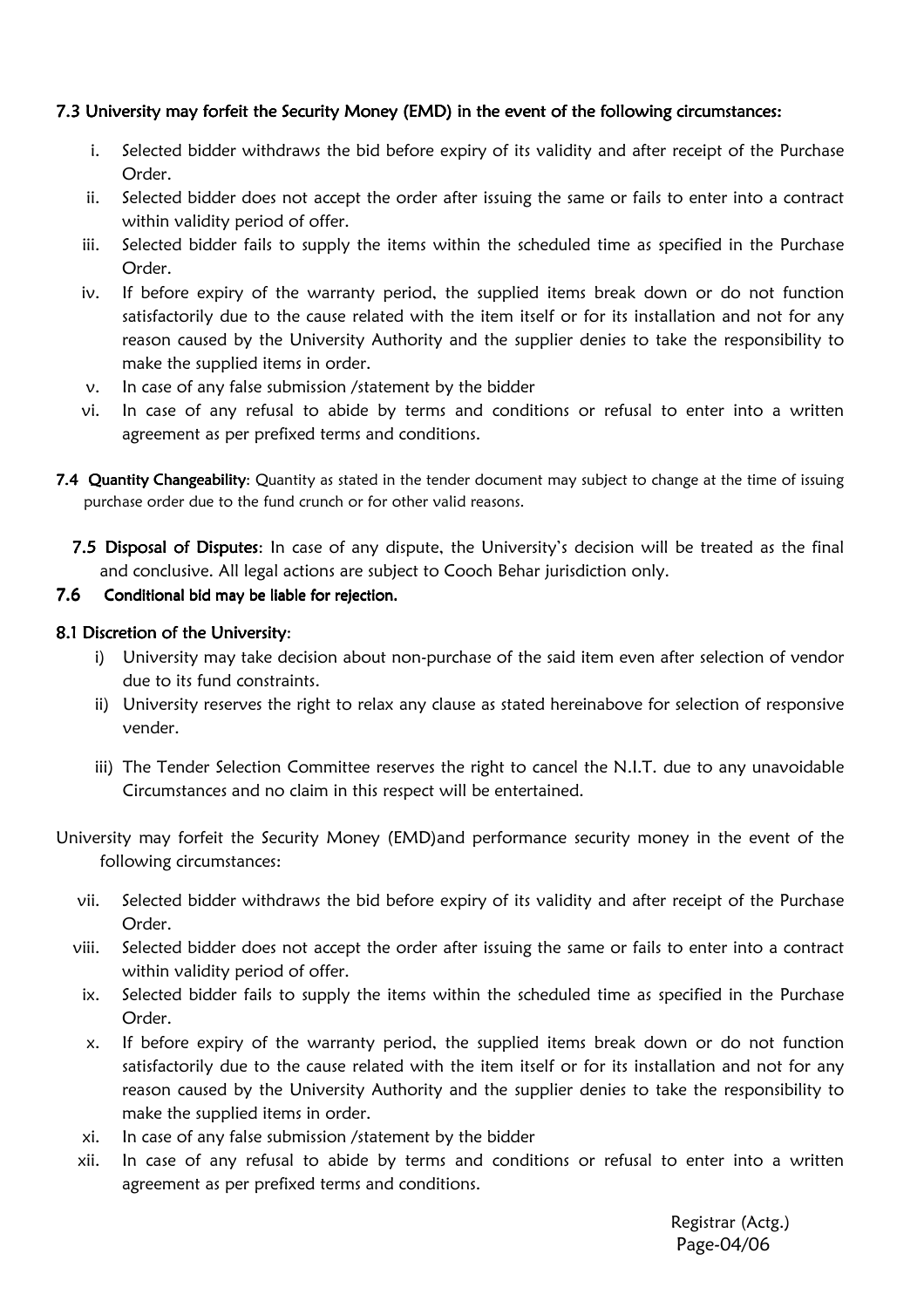# 7.3 University may forfeit the Security Money (EMD) in the event of the following circumstances:

- i. Selected bidder withdraws the bid before expiry of its validity and after receipt of the Purchase Order.
- ii. Selected bidder does not accept the order after issuing the same or fails to enter into a contract within validity period of offer.
- iii. Selected bidder fails to supply the items within the scheduled time as specified in the Purchase Order.
- iv. If before expiry of the warranty period, the supplied items break down or do not function satisfactorily due to the cause related with the item itself or for its installation and not for any reason caused by the University Authority and the supplier denies to take the responsibility to make the supplied items in order.
- v. In case of any false submission /statement by the bidder
- vi. In case of any refusal to abide by terms and conditions or refusal to enter into a written agreement as per prefixed terms and conditions.
- 7.4 Quantity Changeability: Quantity as stated in the tender document may subject to change at the time of issuing purchase order due to the fund crunch or for other valid reasons.
	- 7.5 Disposal of Disputes: In case of any dispute, the University's decision will be treated as the final and conclusive. All legal actions are subject to Cooch Behar jurisdiction only.

#### 7.6 Conditional bid may be liable for rejection.

# 8.1 Discretion of the University:

- i) University may take decision about non-purchase of the said item even after selection of vendor due to its fund constraints.
- ii) University reserves the right to relax any clause as stated hereinabove for selection of responsive vender.
- iii) The Tender Selection Committee reserves the right to cancel the N.I.T. due to any unavoidable Circumstances and no claim in this respect will be entertained.
- University may forfeit the Security Money (EMD)and performance security money in the event of the following circumstances:
	- vii. Selected bidder withdraws the bid before expiry of its validity and after receipt of the Purchase Order.
	- viii. Selected bidder does not accept the order after issuing the same or fails to enter into a contract within validity period of offer.
	- ix. Selected bidder fails to supply the items within the scheduled time as specified in the Purchase Order.
	- x. If before expiry of the warranty period, the supplied items break down or do not function satisfactorily due to the cause related with the item itself or for its installation and not for any reason caused by the University Authority and the supplier denies to take the responsibility to make the supplied items in order.
	- xi. In case of any false submission /statement by the bidder
	- xii. In case of any refusal to abide by terms and conditions or refusal to enter into a written agreement as per prefixed terms and conditions.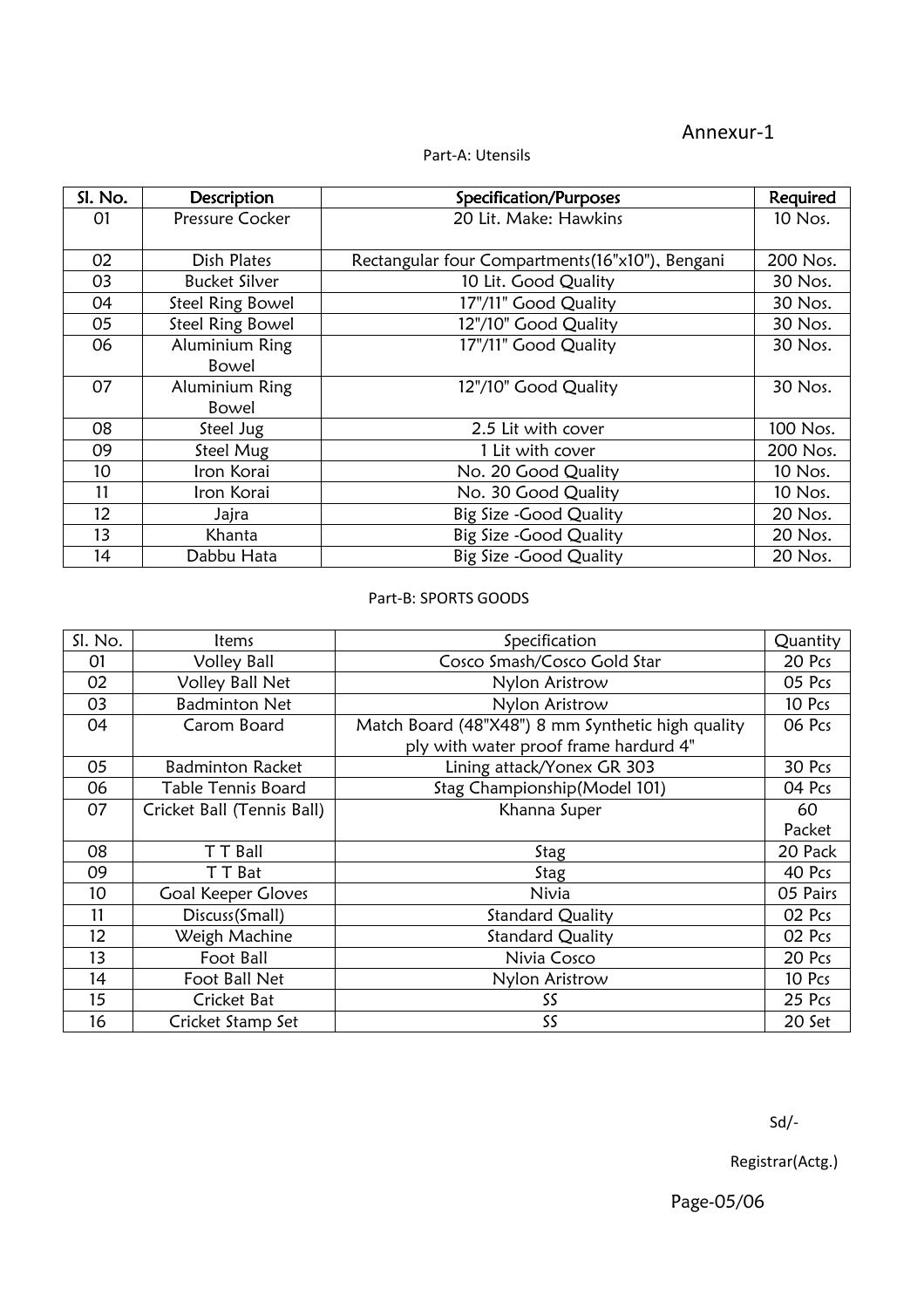# Annexur-1

| Sl. No.         | <b>Description</b>      | Specification/Purposes                          | <b>Required</b> |
|-----------------|-------------------------|-------------------------------------------------|-----------------|
| 01              | Pressure Cocker         | 20 Lit. Make: Hawkins                           | 10 Nos.         |
|                 |                         |                                                 |                 |
| 02              | Dish Plates             | Rectangular four Compartments(16"x10"), Bengani | 200 Nos.        |
| 03              | <b>Bucket Silver</b>    | 10 Lit. Good Quality                            | 30 Nos.         |
| 04              | <b>Steel Ring Bowel</b> | 17"/11" Good Quality                            | 30 Nos.         |
| 05              | <b>Steel Ring Bowel</b> | 12"/10" Good Quality                            | 30 Nos.         |
| 06              | Aluminium Ring          | 17"/11" Good Quality                            | 30 Nos.         |
|                 | Bowel                   |                                                 |                 |
| 07              | Aluminium Ring          | 12"/10" Good Quality                            | 30 Nos.         |
|                 | Bowel                   |                                                 |                 |
| 08              | Steel Jug               | 2.5 Lit with cover                              | 100 Nos.        |
| 09              | Steel Mug               | 1 Lit with cover                                | 200 Nos.        |
| 10 <sup>°</sup> | Iron Korai              | No. 20 Good Quality                             | 10 Nos.         |
| 11              | Iron Korai              | No. 30 Good Quality                             | 10 Nos.         |
| 12              | Jajra                   | Big Size - Good Quality                         | 20 Nos.         |
| 13              | Khanta                  | Big Size - Good Quality                         | 20 Nos.         |
| 14              | Dabbu Hata              | Big Size - Good Quality                         | 20 Nos.         |

#### Part-A: Utensils

#### Part-B: SPORTS GOODS

| Sl. No. | <b>Items</b>               | Specification                                     | Quantity |
|---------|----------------------------|---------------------------------------------------|----------|
| 01      | <b>Volley Ball</b>         | Cosco Smash/Cosco Gold Star                       | 20 Pcs   |
| 02      | <b>Volley Ball Net</b>     | Nylon Aristrow                                    | 05 Pcs   |
| 03      | <b>Badminton Net</b>       | Nylon Aristrow                                    | 10 Pcs   |
| 04      | Carom Board                | Match Board (48"X48") 8 mm Synthetic high quality | 06 Pcs   |
|         |                            | ply with water proof frame hardurd 4"             |          |
| 05      | <b>Badminton Racket</b>    | Lining attack/Yonex GR 303                        | 30 Pcs   |
| 06      | <b>Table Tennis Board</b>  | Stag Championship(Model 101)                      | 04 Pcs   |
| 07      | Cricket Ball (Tennis Ball) | Khanna Super                                      | 60       |
|         |                            |                                                   | Packet   |
| 08      | T T Ball                   | Stag                                              | 20 Pack  |
| 09      | T T Bat                    | Stag                                              | 40 Pcs   |
| 10      | <b>Goal Keeper Gloves</b>  | Nivia                                             | 05 Pairs |
| 11      | Discuss(Small)             | <b>Standard Quality</b>                           | 02 Pcs   |
| 12      | Weigh Machine              | <b>Standard Quality</b>                           | 02 Pcs   |
| 13      | Foot Ball                  | Nivia Cosco                                       | 20 Pcs   |
| 14      | Foot Ball Net              | Nylon Aristrow                                    | 10 Pcs   |
| 15      | Cricket Bat                | SS                                                | 25 Pcs   |
| 16      | Cricket Stamp Set          | SS                                                | 20 Set   |

Registrar(Actg.)